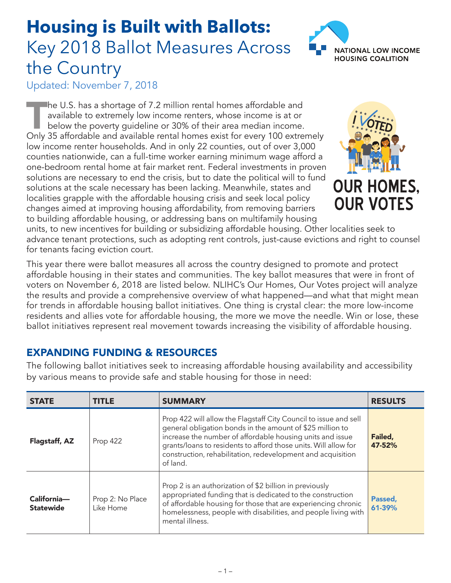## **Housing is Built with Ballots:** Key 2018 Ballot Measures Across the Country



Updated: November 7, 2018

The U.S. has a shortage of 7.2 million rental homes affordable and<br>available to extremely low income renters, whose income is at or<br>below the poverty guideline or 30% of their area median income.<br>Only 35 affordable and ava available to extremely low income renters, whose income is at or below the poverty guideline or 30% of their area median income. Only 35 affordable and available rental homes exist for every 100 extremely low income renter households. And in only 22 counties, out of over 3,000 counties nationwide, can a full-time worker earning minimum wage afford a one-bedroom rental home at fair market rent. Federal investments in proven solutions are necessary to end the crisis, but to date the political will to fund solutions at the scale necessary has been lacking. Meanwhile, states and localities grapple with the affordable housing crisis and seek local policy changes aimed at improving housing affordability, from removing barriers to building affordable housing, or addressing bans on multifamily housing



units, to new incentives for building or subsidizing affordable housing. Other localities seek to advance tenant protections, such as adopting rent controls, just-cause evictions and right to counsel for tenants facing eviction court.

This year there were ballot measures all across the country designed to promote and protect affordable housing in their states and communities. The key ballot measures that were in front of voters on November 6, 2018 are listed below. NLIHC's Our Homes, Our Votes project will analyze the results and provide a comprehensive overview of what happened—and what that might mean for trends in affordable housing ballot initiatives. One thing is crystal clear: the more low-income residents and allies vote for affordable housing, the more we move the needle. Win or lose, these ballot initiatives represent real movement towards increasing the visibility of affordable housing.

## EXPANDING FUNDING & RESOURCES

The following ballot initiatives seek to increasing affordable housing availability and accessibility by various means to provide safe and stable housing for those in need:

| <b>STATE</b>                    | <b>TITLE</b>                  | <b>SUMMARY</b>                                                                                                                                                                                                                                                                                                                           | <b>RESULTS</b>    |
|---------------------------------|-------------------------------|------------------------------------------------------------------------------------------------------------------------------------------------------------------------------------------------------------------------------------------------------------------------------------------------------------------------------------------|-------------------|
| Flagstaff, AZ                   | Prop 422                      | Prop 422 will allow the Flagstaff City Council to issue and sell<br>general obligation bonds in the amount of \$25 million to<br>increase the number of affordable housing units and issue<br>grants/loans to residents to afford those units. Will allow for<br>construction, rehabilitation, redevelopment and acquisition<br>of land. | Failed,<br>47-52% |
| California-<br><b>Statewide</b> | Prop 2: No Place<br>Like Home | Prop 2 is an authorization of \$2 billion in previously<br>appropriated funding that is dedicated to the construction<br>of affordable housing for those that are experiencing chronic<br>homelessness, people with disabilities, and people living with<br>mental illness.                                                              | Passed,<br>61-39% |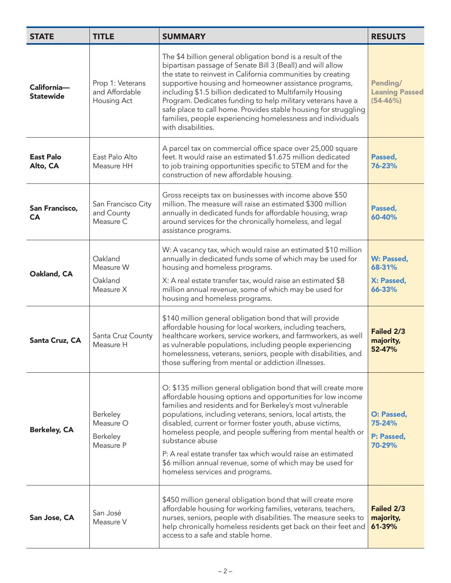| <b>STATE</b>                    | <b>TITLE</b>                                      | <b>SUMMARY</b>                                                                                                                                                                                                                                                                                                                                                                                                                                                                                                                                                           | <b>RESULTS</b>                                    |
|---------------------------------|---------------------------------------------------|--------------------------------------------------------------------------------------------------------------------------------------------------------------------------------------------------------------------------------------------------------------------------------------------------------------------------------------------------------------------------------------------------------------------------------------------------------------------------------------------------------------------------------------------------------------------------|---------------------------------------------------|
| California-<br><b>Statewide</b> | Prop 1: Veterans<br>and Affordable<br>Housing Act | The \$4 billion general obligation bond is a result of the<br>bipartisan passage of Senate Bill 3 (Beall) and will allow<br>the state to reinvest in California communities by creating<br>supportive housing and homeowner assistance programs,<br>including \$1.5 billion dedicated to Multifamily Housing<br>Program. Dedicates funding to help military veterans have a<br>safe place to call home. Provides stable housing for struggling<br>families, people experiencing homelessness and individuals<br>with disabilities.                                       | Pending/<br><b>Leaning Passed</b><br>$(54 - 46%)$ |
| <b>East Palo</b><br>Alto, CA    | East Palo Alto<br>Measure HH                      | A parcel tax on commercial office space over 25,000 square<br>feet. It would raise an estimated \$1.675 million dedicated<br>to job training opportunities specific to STEM and for the<br>construction of new affordable housing.                                                                                                                                                                                                                                                                                                                                       | Passed,<br>76-23%                                 |
| San Francisco,<br><b>CA</b>     | San Francisco City<br>and County<br>Measure C     | Gross receipts tax on businesses with income above \$50<br>million. The measure will raise an estimated \$300 million<br>annually in dedicated funds for affordable housing, wrap<br>around services for the chronically homeless, and legal<br>assistance programs.                                                                                                                                                                                                                                                                                                     | Passed,<br>60-40%                                 |
| Oakland, CA                     | Oakland<br>Measure W<br>Oakland<br>Measure X      | W: A vacancy tax, which would raise an estimated \$10 million<br>annually in dedicated funds some of which may be used for<br>housing and homeless programs.<br>X: A real estate transfer tax, would raise an estimated \$8<br>million annual revenue, some of which may be used for<br>housing and homeless programs.                                                                                                                                                                                                                                                   | W: Passed,<br>68-31%<br>X: Passed,<br>66-33%      |
| Santa Cruz, CA                  | Santa Cruz County<br>Measure H                    | \$140 million general obligation bond that will provide<br>affordable housing for local workers, including teachers,<br>healthcare workers, service workers, and farmworkers, as well<br>as vulnerable populations, including people experiencing<br>homelessness, veterans, seniors, people with disabilities, and<br>those suffering from mental or addiction illnesses.                                                                                                                                                                                               | Failed 2/3<br>majority,<br>52-47%                 |
| <b>Berkeley, CA</b>             | Berkeley<br>Measure O<br>Berkeley<br>Measure P    | O: \$135 million general obligation bond that will create more<br>affordable housing options and opportunities for low income<br>families and residents and for Berkeley's most vulnerable<br>populations, including veterans, seniors, local artists, the<br>disabled, current or former foster youth, abuse victims,<br>homeless people, and people suffering from mental health or<br>substance abuse<br>P: A real estate transfer tax which would raise an estimated<br>\$6 million annual revenue, some of which may be used for<br>homeless services and programs. | O: Passed,<br>75-24%<br>P: Passed,<br>70-29%      |
| San Jose, CA                    | San José<br>Measure V                             | \$450 million general obligation bond that will create more<br>affordable housing for working families, veterans, teachers,<br>nurses, seniors, people with disabilities. The measure seeks to<br>help chronically homeless residents get back on their feet and<br>access to a safe and stable home.                                                                                                                                                                                                                                                                    | Failed 2/3<br>majority,<br>61-39%                 |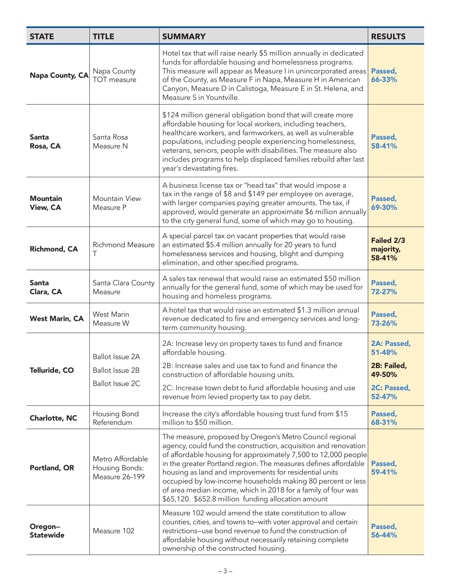| <b>STATE</b>                       | <b>TITLE</b>                                                 | <b>SUMMARY</b>                                                                                                                                                                                                                                                                                                                                                                                                                                                                                                    | <b>RESULTS</b>                                                          |
|------------------------------------|--------------------------------------------------------------|-------------------------------------------------------------------------------------------------------------------------------------------------------------------------------------------------------------------------------------------------------------------------------------------------------------------------------------------------------------------------------------------------------------------------------------------------------------------------------------------------------------------|-------------------------------------------------------------------------|
| Napa County, CA                    | Napa County<br>TOT measure                                   | Hotel tax that will raise nearly \$5 million annually in dedicated<br>funds for affordable housing and homelessness programs.<br>This measure will appear as Measure I in unincorporated areas<br>of the County, as Measure F in Napa, Measure H in American<br>Canyon, Measure D in Calistoga, Measure E in St. Helena, and<br>Measure S in Yountville.                                                                                                                                                          | Passed,<br>66-33%                                                       |
| <b>Santa</b><br>Rosa, CA           | Santa Rosa<br>Measure N                                      | \$124 million general obligation bond that will create more<br>affordable housing for local workers, including teachers,<br>healthcare workers, and farmworkers, as well as vulnerable<br>populations, including people experiencing homelessness,<br>veterans, seniors, people with disabilities. The measure also<br>includes programs to help displaced families rebuild after last<br>year's devastating fires.                                                                                               | Passed,<br>58-41%                                                       |
| <b>Mountain</b><br><b>View, CA</b> | Mountain View<br>Measure P                                   | A business license tax or "head tax" that would impose a<br>tax in the range of \$8 and \$149 per employee on average,<br>with larger companies paying greater amounts. The tax, if<br>approved, would generate an approximate \$6 million annually<br>to the city general fund, some of which may go to housing.                                                                                                                                                                                                 | Passed,<br>69-30%                                                       |
| Richmond, CA                       | <b>Richmond Measure</b><br>Τ                                 | A special parcel tax on vacant properties that would raise<br>an estimated \$5.4 million annually for 20 years to fund<br>homelessness services and housing, blight and dumping<br>elimination, and other specified programs.                                                                                                                                                                                                                                                                                     | Failed 2/3<br>majority,<br>58-41%                                       |
| <b>Santa</b><br>Clara, CA          | Santa Clara County<br>Measure                                | A sales tax renewal that would raise an estimated \$50 million<br>annually for the general fund, some of which may be used for<br>housing and homeless programs.                                                                                                                                                                                                                                                                                                                                                  | Passed,<br>72-27%                                                       |
| <b>West Marin, CA</b>              | <b>West Marin</b><br>Measure W                               | A hotel tax that would raise an estimated \$1.3 million annual<br>revenue dedicated to fire and emergency services and long-<br>term community housing.                                                                                                                                                                                                                                                                                                                                                           | Passed,<br>73-26%                                                       |
| Telluride, CO                      | Ballot Issue 2A<br><b>Ballot Issue 2B</b><br>Ballot Issue 2C | 2A: Increase levy on property taxes to fund and finance<br>affordable housing.<br>2B: Increase sales and use tax to fund and finance the<br>construction of affordable housing units.<br>2C: Increase town debt to fund affordable housing and use<br>revenue from levied property tax to pay debt.                                                                                                                                                                                                               | 2A: Passed,<br>51-48%<br>2B: Failed,<br>49-50%<br>2C: Passed,<br>52-47% |
| <b>Charlotte, NC</b>               | Housing Bond<br>Referendum                                   | Increase the city's affordable housing trust fund from \$15<br>million to \$50 million.                                                                                                                                                                                                                                                                                                                                                                                                                           | Passed,<br>68-31%                                                       |
| Portland, OR                       | Metro Affordable<br>Housing Bonds:<br>Measure 26-199         | The measure, proposed by Oregon's Metro Council regional<br>agency, could fund the construction, acquisition and renovation<br>of affordable housing for approximately 7,500 to 12,000 people<br>in the greater Portland region. The measures defines affordable<br>housing as land and improvements for residential units<br>occupied by low-income households making 80 percent or less<br>of area median income, which in 2018 for a family of four was<br>\$65,120. \$652.8 million funding allocation amount | Passed,<br>59-41%                                                       |
| Oregon--<br><b>Statewide</b>       | Measure 102                                                  | Measure 102 would amend the state constitution to allow<br>counties, cities, and towns to-with voter approval and certain<br>restrictions-use bond revenue to fund the construction of<br>affordable housing without necessarily retaining complete<br>ownership of the constructed housing.                                                                                                                                                                                                                      | Passed,<br>56-44%                                                       |